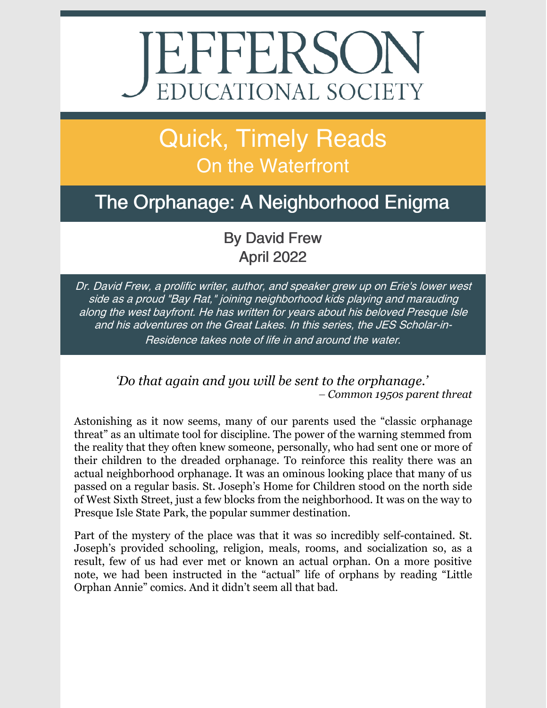# EPPERSON

# Quick, Timely Reads On the Waterfront

## The Orphanage: A Neighborhood Enigma

#### By David Frew April 2022

Dr. David Frew, <sup>a</sup> prolific writer, author, and speaker grew up on Erie's lower west side as <sup>a</sup> proud "Bay Rat," joining neighborhood kids playing and marauding along the west bayfront. He has written for years about his beloved Presque Isle and his adventures on the Great Lakes. In this series, the JES Scholar-in-Residence takes note of life in and around the water.

> *'Do that again and you will be sent to the orphanage.' – Common 1950s parent threat*

Astonishing as it now seems, many of our parents used the "classic orphanage threat" as an ultimate tool for discipline. The power of the warning stemmed from the reality that they often knew someone, personally, who had sent one or more of their children to the dreaded orphanage. To reinforce this reality there was an actual neighborhood orphanage. It was an ominous looking place that many of us passed on a regular basis. St. Joseph's Home for Children stood on the north side of West Sixth Street, just a few blocks from the neighborhood. It was on the way to Presque Isle State Park, the popular summer destination.

Part of the mystery of the place was that it was so incredibly self-contained. St. Joseph's provided schooling, religion, meals, rooms, and socialization so, as a result, few of us had ever met or known an actual orphan. On a more positive note, we had been instructed in the "actual" life of orphans by reading "Little Orphan Annie" comics. And it didn't seem all that bad.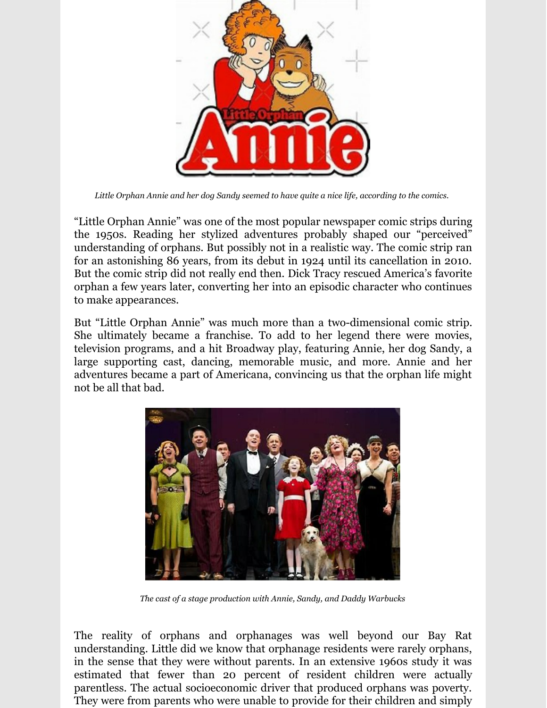

*Little Orphan Annie and her dog Sandy seemed to have quite a nice life, according to the comics.*

"Little Orphan Annie" was one of the most popular newspaper comic strips during the 1950s. Reading her stylized adventures probably shaped our "perceived" understanding of orphans. But possibly not in a realistic way. The comic strip ran for an astonishing 86 years, from its debut in 1924 until its cancellation in 2010. But the comic strip did not really end then. Dick Tracy rescued America's favorite orphan a few years later, converting her into an episodic character who continues to make appearances.

But "Little Orphan Annie" was much more than a two-dimensional comic strip. She ultimately became a franchise. To add to her legend there were movies, television programs, and a hit Broadway play, featuring Annie, her dog Sandy, a large supporting cast, dancing, memorable music, and more. Annie and her adventures became a part of Americana, convincing us that the orphan life might not be all that bad.



*The cast of a stage production with Annie, Sandy, and Daddy Warbucks*

The reality of orphans and orphanages was well beyond our Bay Rat understanding. Little did we know that orphanage residents were rarely orphans, in the sense that they were without parents. In an extensive 1960s study it was estimated that fewer than 20 percent of resident children were actually parentless. The actual socioeconomic driver that produced orphans was poverty. They were from parents who were unable to provide for their children and simply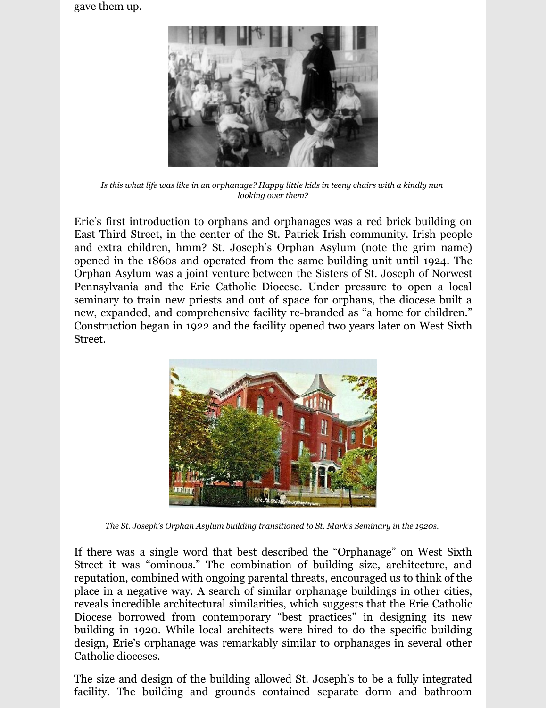gave them up.



Is this what life was like in an orphanage? Happy little kids in teeny chairs with a kindly nun *looking over them?*

Erie's first introduction to orphans and orphanages was a red brick building on East Third Street, in the center of the St. Patrick Irish community. Irish people and extra children, hmm? St. Joseph's Orphan Asylum (note the grim name) opened in the 1860s and operated from the same building unit until 1924. The Orphan Asylum was a joint venture between the Sisters of St. Joseph of Norwest Pennsylvania and the Erie Catholic Diocese. Under pressure to open a local seminary to train new priests and out of space for orphans, the diocese built a new, expanded, and comprehensive facility re-branded as "a home for children." Construction began in 1922 and the facility opened two years later on West Sixth Street.



*The St. Joseph's Orphan Asylum building transitioned to St. Mark's Seminary in the 1920s.*

If there was a single word that best described the "Orphanage" on West Sixth Street it was "ominous." The combination of building size, architecture, and reputation, combined with ongoing parental threats, encouraged us to think of the place in a negative way. A search of similar orphanage buildings in other cities, reveals incredible architectural similarities, which suggests that the Erie Catholic Diocese borrowed from contemporary "best practices" in designing its new building in 1920. While local architects were hired to do the specific building design, Erie's orphanage was remarkably similar to orphanages in several other Catholic dioceses.

The size and design of the building allowed St. Joseph's to be a fully integrated facility. The building and grounds contained separate dorm and bathroom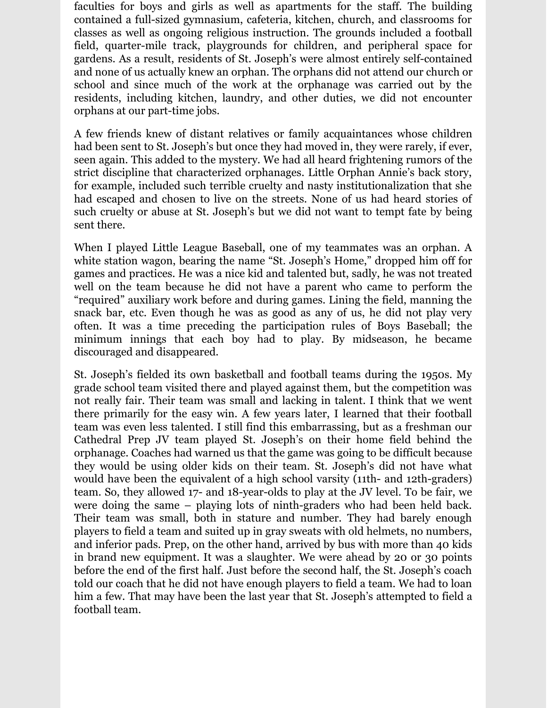faculties for boys and girls as well as apartments for the staff. The building contained a full-sized gymnasium, cafeteria, kitchen, church, and classrooms for classes as well as ongoing religious instruction. The grounds included a football field, quarter-mile track, playgrounds for children, and peripheral space for gardens. As a result, residents of St. Joseph's were almost entirely self-contained and none of us actually knew an orphan. The orphans did not attend our church or school and since much of the work at the orphanage was carried out by the residents, including kitchen, laundry, and other duties, we did not encounter orphans at our part-time jobs.

A few friends knew of distant relatives or family acquaintances whose children had been sent to St. Joseph's but once they had moved in, they were rarely, if ever, seen again. This added to the mystery. We had all heard frightening rumors of the strict discipline that characterized orphanages. Little Orphan Annie's back story, for example, included such terrible cruelty and nasty institutionalization that she had escaped and chosen to live on the streets. None of us had heard stories of such cruelty or abuse at St. Joseph's but we did not want to tempt fate by being sent there.

When I played Little League Baseball, one of my teammates was an orphan. A white station wagon, bearing the name "St. Joseph's Home," dropped him off for games and practices. He was a nice kid and talented but, sadly, he was not treated well on the team because he did not have a parent who came to perform the "required" auxiliary work before and during games. Lining the field, manning the snack bar, etc. Even though he was as good as any of us, he did not play very often. It was a time preceding the participation rules of Boys Baseball; the minimum innings that each boy had to play. By midseason, he became discouraged and disappeared.

St. Joseph's fielded its own basketball and football teams during the 1950s. My grade school team visited there and played against them, but the competition was not really fair. Their team was small and lacking in talent. I think that we went there primarily for the easy win. A few years later, I learned that their football team was even less talented. I still find this embarrassing, but as a freshman our Cathedral Prep JV team played St. Joseph's on their home field behind the orphanage. Coaches had warned us that the game was going to be difficult because they would be using older kids on their team. St. Joseph's did not have what would have been the equivalent of a high school varsity (11th- and 12th-graders) team. So, they allowed 17- and 18-year-olds to play at the JV level. To be fair, we were doing the same – playing lots of ninth-graders who had been held back. Their team was small, both in stature and number. They had barely enough players to field a team and suited up in gray sweats with old helmets, no numbers, and inferior pads. Prep, on the other hand, arrived by bus with more than 40 kids in brand new equipment. It was a slaughter. We were ahead by 20 or 30 points before the end of the first half. Just before the second half, the St. Joseph's coach told our coach that he did not have enough players to field a team. We had to loan him a few. That may have been the last year that St. Joseph's attempted to field a football team.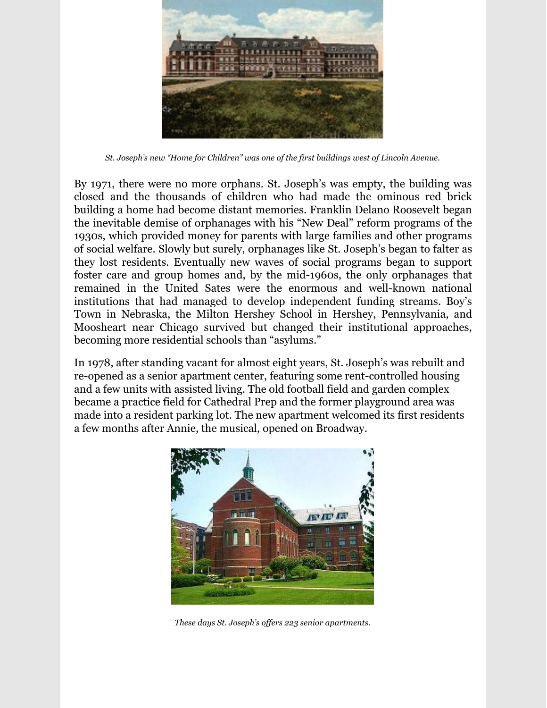

*St. Joseph's new "Home for Children" was one of the first buildings west of Lincoln Avenue.*

By 1971, there were no more orphans. St. Joseph's was empty, the building was closed and the thousands of children who had made the ominous red brick building a home had become distant memories. Franklin Delano Roosevelt began the inevitable demise of orphanages with his "New Deal" reform programs of the 1930s, which provided money for parents with large families and other programs of social welfare. Slowly but surely, orphanages like St. Joseph's began to falter as they lost residents. Eventually new waves of social programs began to support foster care and group homes and, by the mid-1960s, the only orphanages that remained in the United Sates were the enormous and well-known national institutions that had managed to develop independent funding streams. Boy's Town in Nebraska, the Milton Hershey School in Hershey, Pennsylvania, and Moosheart near Chicago survived but changed their institutional approaches, becoming more residential schools than "asylums."

In 1978, after standing vacant for almost eight years, St. Joseph's was rebuilt and re-opened as a senior apartment center, featuring some rent-controlled housing and a few units with assisted living. The old football field and garden complex became a practice field for Cathedral Prep and the former playground area was made into a resident parking lot. The new apartment welcomed its first residents a few months after Annie, the musical, opened on Broadway.



*These days St. Joseph's of ers 223 senior apartments.*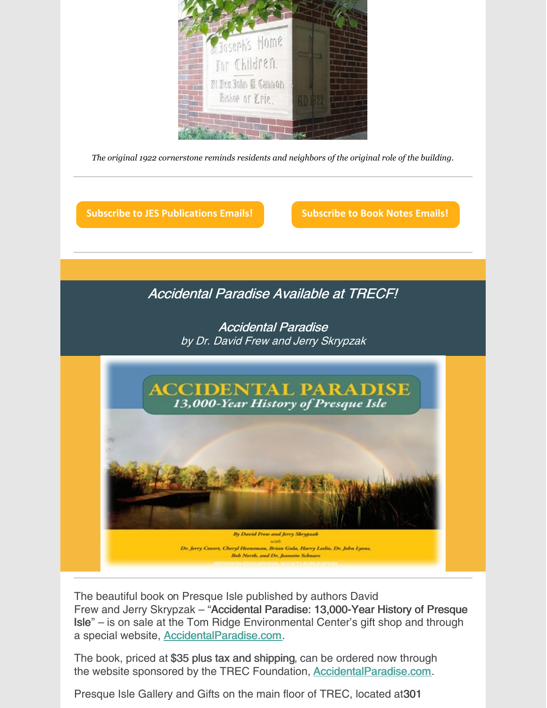

*The original 1922 cornerstone reminds residents and neighbors of the original role of the building.*

**Subscribe to JES [Publications](https://lp.constantcontactpages.com/su/OYSOPRt/PublicationsSubscription?source_id=765ccfc6-4ec7-4670-b24e-9ef83b1a7b1b&source_type=em&c=) Emails! [Subscribe](https://lp.constantcontactpages.com/su/TXbaxH2/BookNotesSubscription?source_id=765ccfc6-4ec7-4670-b24e-9ef83b1a7b1b&source_type=em&c=) to Book Notes Emails!**

#### Accidental Paradise Available at TRECF!

Accidental Paradise by Dr. David Frew and Jerry Skrypzak



The beautiful book on Presque Isle published by authors David Frew and Jerry Skrypzak – "Accidental Paradise: 13,000-Year History of Presque Isle" – is on sale at the Tom Ridge Environmental Center's gift shop and through a special website, [AccidentalParadise.com](http://r20.rs6.net/tn.jsp?f=001EIJ4bWInbAgZbfubFkRC6CJbiNPBnDNmlUevQbPeCp1CHyPy1PudVT_GBGMKCgQkI5_hxwzW8RAuM_JPgy-OW4cwbEtSpi2bXvIzjjPOzDvf5Za4YQ6DXvK7wLRR56asG7Ya4wMn-TbrCz2fsITPjg==&c=WAaU3N0-L4YGB3ynOn-kUkgM_yiuLjPWr84Za7eXf1C6hqLg9eYUwQ==&ch=CjD0a-KMcO9BAvzxTmthj-rGDyoqC43eKwiy7Xv9UvzdH29THLJyEw==).

The book, priced at \$35 plus tax and shipping, can be ordered now through the website sponsored by the TREC Foundation, **[AccidentalParadise.com](http://r20.rs6.net/tn.jsp?f=001EIJ4bWInbAgZbfubFkRC6CJbiNPBnDNmlUevQbPeCp1CHyPy1PudVSoSqIsYDhcA2SVqGDFbvwXgwDL8Czp1wjUocXtAllu6z186Q0Y8g_KhSkRdZX9w7zBMb3-ovne_jE0DF8YyX2sBzca0-7AbuWORKrz902cn9WpYIdN3_Ho=&c=WAaU3N0-L4YGB3ynOn-kUkgM_yiuLjPWr84Za7eXf1C6hqLg9eYUwQ==&ch=CjD0a-KMcO9BAvzxTmthj-rGDyoqC43eKwiy7Xv9UvzdH29THLJyEw==).** 

Presque Isle Gallery and Gifts on the main floor of TREC, located at301